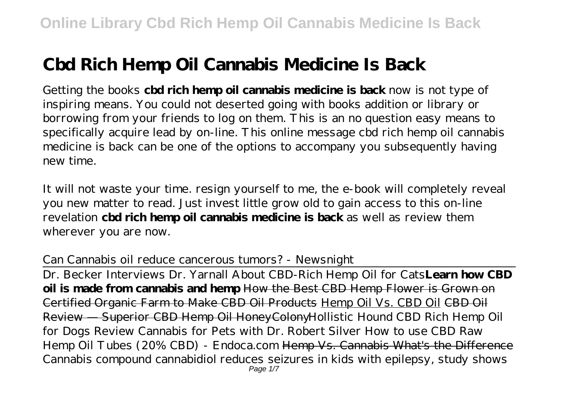# **Cbd Rich Hemp Oil Cannabis Medicine Is Back**

Getting the books **cbd rich hemp oil cannabis medicine is back** now is not type of inspiring means. You could not deserted going with books addition or library or borrowing from your friends to log on them. This is an no question easy means to specifically acquire lead by on-line. This online message cbd rich hemp oil cannabis medicine is back can be one of the options to accompany you subsequently having new time.

It will not waste your time. resign yourself to me, the e-book will completely reveal you new matter to read. Just invest little grow old to gain access to this on-line revelation **cbd rich hemp oil cannabis medicine is back** as well as review them wherever you are now.

Can Cannabis oil reduce cancerous tumors? - Newsnight

Dr. Becker Interviews Dr. Yarnall About CBD-Rich Hemp Oil for Cats**Learn how CBD oil is made from cannabis and hemp** How the Best CBD Hemp Flower is Grown on Certified Organic Farm to Make CBD Oil Products Hemp Oil Vs. CBD Oil CBD Oil Review — Superior CBD Hemp Oil HoneyColony*Hollistic Hound CBD Rich Hemp Oil for Dogs Review Cannabis for Pets with Dr. Robert Silver How to use CBD Raw Hemp Oil Tubes (20% CBD) - Endoca.com* Hemp Vs. Cannabis What's the Difference *Cannabis compound cannabidiol reduces seizures in kids with epilepsy, study shows* Page  $1/7$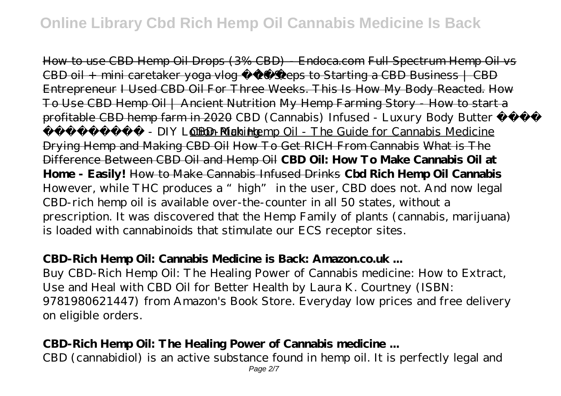How to use CBD Hemp Oil Drops (3% CBD) - Endoca.com Full Spectrum Hemp Oil vs CBD oil + mini caretaker yoga vlog 10 Steps to Starting a CBD Business | CBD Entrepreneur I Used CBD Oil For Three Weeks. This Is How My Body Reacted. How To Use CBD Hemp Oil | Ancient Nutrition My Hemp Farming Story - How to start a profitable CBD hemp farm in 2020 *CBD (Cannabis) Infused - Luxury Body Butter* 

- DIY Lotion MakERE-Rich Hemp Oil - The Guide for Cannabis Medicine Drying Hemp and Making CBD Oil How To Get RICH From Cannabis What is The Difference Between CBD Oil and Hemp Oil **CBD Oil: How To Make Cannabis Oil at Home - Easily!** How to Make Cannabis Infused Drinks **Cbd Rich Hemp Oil Cannabis** However, while THC produces a "high" in the user, CBD does not. And now legal CBD-rich hemp oil is available over-the-counter in all 50 states, without a prescription. It was discovered that the Hemp Family of plants (cannabis, marijuana) is loaded with cannabinoids that stimulate our ECS receptor sites.

#### **CBD-Rich Hemp Oil: Cannabis Medicine is Back: Amazon.co.uk ...**

Buy CBD-Rich Hemp Oil: The Healing Power of Cannabis medicine: How to Extract, Use and Heal with CBD Oil for Better Health by Laura K. Courtney (ISBN: 9781980621447) from Amazon's Book Store. Everyday low prices and free delivery on eligible orders.

#### **CBD-Rich Hemp Oil: The Healing Power of Cannabis medicine ...**

CBD (cannabidiol) is an active substance found in hemp oil. It is perfectly legal and Page 2/7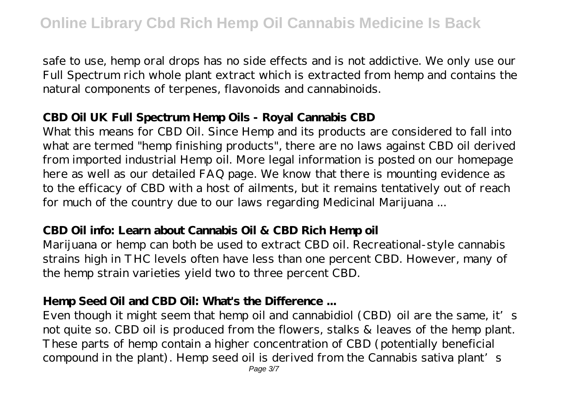safe to use, hemp oral drops has no side effects and is not addictive. We only use our Full Spectrum rich whole plant extract which is extracted from hemp and contains the natural components of terpenes, flavonoids and cannabinoids.

#### **CBD Oil UK Full Spectrum Hemp Oils - Royal Cannabis CBD**

What this means for CBD Oil. Since Hemp and its products are considered to fall into what are termed "hemp finishing products", there are no laws against CBD oil derived from imported industrial Hemp oil. More legal information is posted on our homepage here as well as our detailed FAQ page. We know that there is mounting evidence as to the efficacy of CBD with a host of ailments, but it remains tentatively out of reach for much of the country due to our laws regarding Medicinal Marijuana ...

#### **CBD Oil info: Learn about Cannabis Oil & CBD Rich Hemp oil**

Marijuana or hemp can both be used to extract CBD oil. Recreational-style cannabis strains high in THC levels often have less than one percent CBD. However, many of the hemp strain varieties yield two to three percent CBD.

## **Hemp Seed Oil and CBD Oil: What's the Difference ...**

Even though it might seem that hemp oil and cannabidiol (CBD) oil are the same, it's not quite so. CBD oil is produced from the flowers, stalks & leaves of the hemp plant. These parts of hemp contain a higher concentration of CBD (potentially beneficial compound in the plant). Hemp seed oil is derived from the Cannabis sativa plant's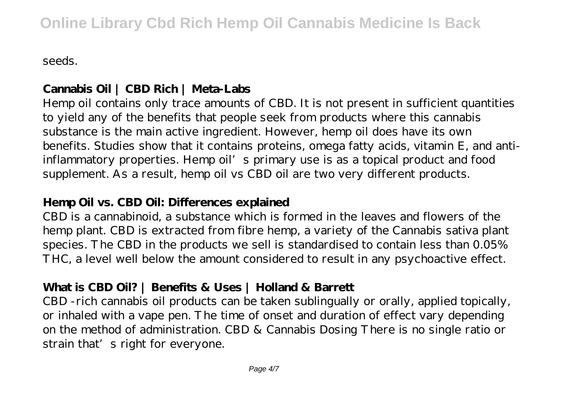seeds.

# **Cannabis Oil | CBD Rich | Meta-Labs**

Hemp oil contains only trace amounts of CBD. It is not present in sufficient quantities to yield any of the benefits that people seek from products where this cannabis substance is the main active ingredient. However, hemp oil does have its own benefits. Studies show that it contains proteins, omega fatty acids, vitamin E, and antiinflammatory properties. Hemp oil's primary use is as a topical product and food supplement. As a result, hemp oil vs CBD oil are two very different products.

#### **Hemp Oil vs. CBD Oil: Differences explained**

CBD is a cannabinoid, a substance which is formed in the leaves and flowers of the hemp plant. CBD is extracted from fibre hemp, a variety of the Cannabis sativa plant species. The CBD in the products we sell is standardised to contain less than 0.05% THC, a level well below the amount considered to result in any psychoactive effect.

## **What is CBD Oil? | Benefits & Uses | Holland & Barrett**

CBD -rich cannabis oil products can be taken sublingually or orally, applied topically, or inhaled with a vape pen. The time of onset and duration of effect vary depending on the method of administration. CBD & Cannabis Dosing There is no single ratio or strain that's right for everyone.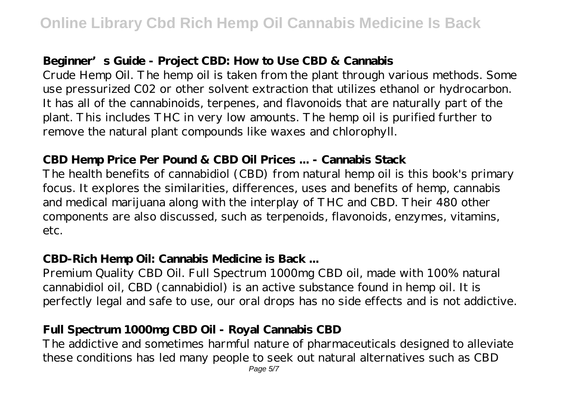## **Beginner's Guide - Project CBD: How to Use CBD & Cannabis**

Crude Hemp Oil. The hemp oil is taken from the plant through various methods. Some use pressurized C02 or other solvent extraction that utilizes ethanol or hydrocarbon. It has all of the cannabinoids, terpenes, and flavonoids that are naturally part of the plant. This includes THC in very low amounts. The hemp oil is purified further to remove the natural plant compounds like waxes and chlorophyll.

#### **CBD Hemp Price Per Pound & CBD Oil Prices ... - Cannabis Stack**

The health benefits of cannabidiol (CBD) from natural hemp oil is this book's primary focus. It explores the similarities, differences, uses and benefits of hemp, cannabis and medical marijuana along with the interplay of THC and CBD. Their 480 other components are also discussed, such as terpenoids, flavonoids, enzymes, vitamins, etc.

## **CBD-Rich Hemp Oil: Cannabis Medicine is Back ...**

Premium Quality CBD Oil. Full Spectrum 1000mg CBD oil, made with 100% natural cannabidiol oil, CBD (cannabidiol) is an active substance found in hemp oil. It is perfectly legal and safe to use, our oral drops has no side effects and is not addictive.

# **Full Spectrum 1000mg CBD Oil - Royal Cannabis CBD**

The addictive and sometimes harmful nature of pharmaceuticals designed to alleviate these conditions has led many people to seek out natural alternatives such as CBD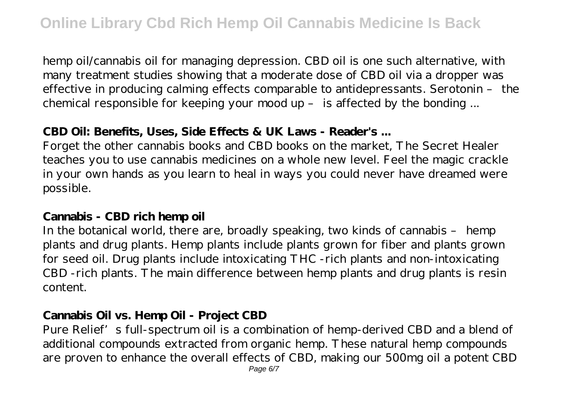hemp oil/cannabis oil for managing depression. CBD oil is one such alternative, with many treatment studies showing that a moderate dose of CBD oil via a dropper was effective in producing calming effects comparable to antidepressants. Serotonin – the chemical responsible for keeping your mood up – is affected by the bonding ...

#### **CBD Oil: Benefits, Uses, Side Effects & UK Laws - Reader's ...**

Forget the other cannabis books and CBD books on the market, The Secret Healer teaches you to use cannabis medicines on a whole new level. Feel the magic crackle in your own hands as you learn to heal in ways you could never have dreamed were possible.

#### **Cannabis - CBD rich hemp oil**

In the botanical world, there are, broadly speaking, two kinds of cannabis – hemp plants and drug plants. Hemp plants include plants grown for fiber and plants grown for seed oil. Drug plants include intoxicating THC -rich plants and non-intoxicating CBD -rich plants. The main difference between hemp plants and drug plants is resin content.

## **Cannabis Oil vs. Hemp Oil - Project CBD**

Pure Relief's full-spectrum oil is a combination of hemp-derived CBD and a blend of additional compounds extracted from organic hemp. These natural hemp compounds are proven to enhance the overall effects of CBD, making our 500mg oil a potent CBD